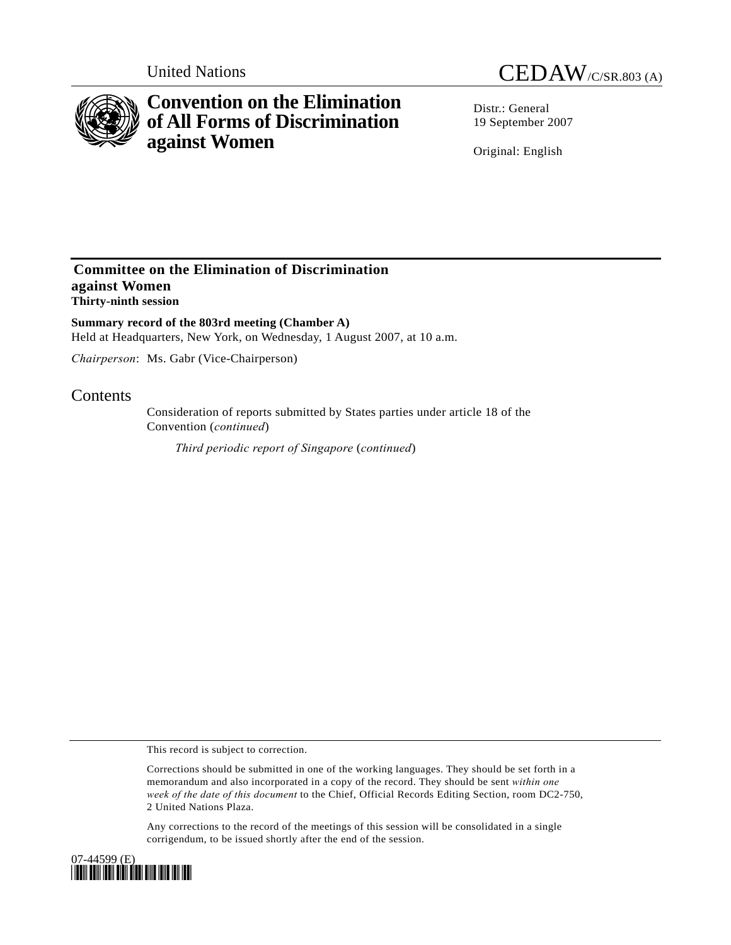

# **Convention on the Elimination of All Forms of Discrimination against Women**

United Nations CEDAW/C/SR.803 (A)

Distr · General 19 September 2007

Original: English

### **Committee on the Elimination of Discrimination against Women Thirty-ninth session**

**Summary record of the 803rd meeting (Chamber A)**  Held at Headquarters, New York, on Wednesday, 1 August 2007, at 10 a.m.

*Chairperson*: Ms. Gabr (Vice-Chairperson)

## **Contents**

Consideration of reports submitted by States parties under article 18 of the Convention (*continued*)

*Third periodic report of Singapore* (*continued*)

This record is subject to correction.

Corrections should be submitted in one of the working languages. They should be set forth in a memorandum and also incorporated in a copy of the record. They should be sent *within one week of the date of this document* to the Chief, Official Records Editing Section, room DC2-750, 2 United Nations Plaza.

Any corrections to the record of the meetings of this session will be consolidated in a single corrigendum, to be issued shortly after the end of the session.

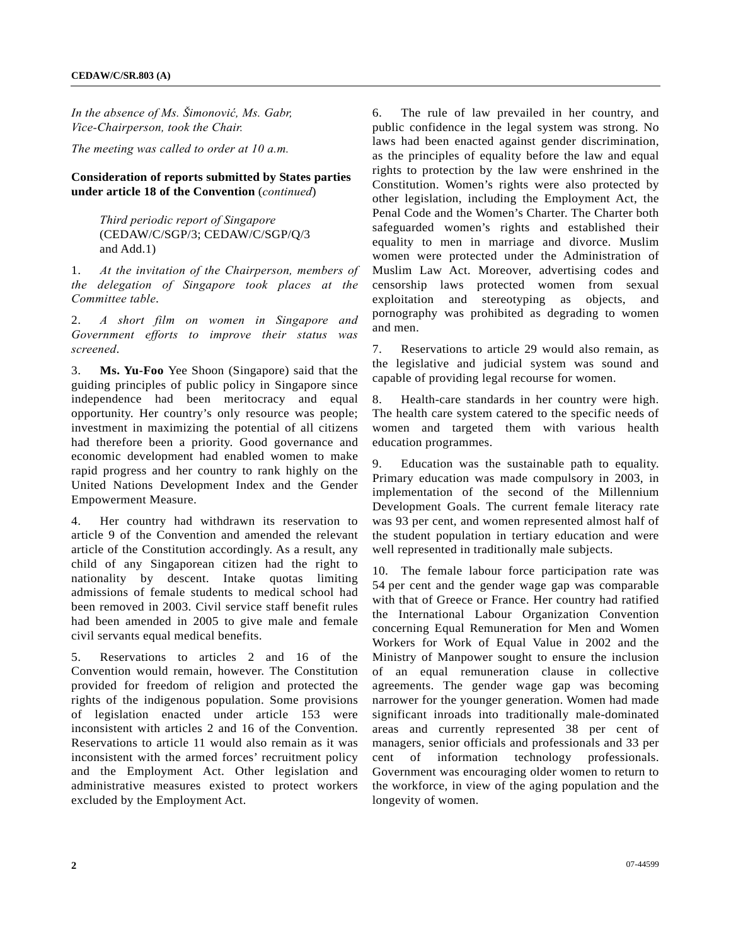*In the absence of Ms. Šimonović, Ms. Gabr, Vice-Chairperson, took the Chair.* 

*The meeting was called to order at 10 a.m.* 

#### **Consideration of reports submitted by States parties under article 18 of the Convention** (*continued*)

 *Third periodic report of Singapore*  (CEDAW/C/SGP/3; CEDAW/C/SGP/Q/3 and Add.1)

1. *At the invitation of the Chairperson, members of the delegation of Singapore took places at the Committee table*.

2. *A short film on women in Singapore and Government efforts to improve their status was screened*.

3. **Ms. Yu-Foo** Yee Shoon (Singapore) said that the guiding principles of public policy in Singapore since independence had been meritocracy and equal opportunity. Her country's only resource was people; investment in maximizing the potential of all citizens had therefore been a priority. Good governance and economic development had enabled women to make rapid progress and her country to rank highly on the United Nations Development Index and the Gender Empowerment Measure.

4. Her country had withdrawn its reservation to article 9 of the Convention and amended the relevant article of the Constitution accordingly. As a result, any child of any Singaporean citizen had the right to nationality by descent. Intake quotas limiting admissions of female students to medical school had been removed in 2003. Civil service staff benefit rules had been amended in 2005 to give male and female civil servants equal medical benefits.

5. Reservations to articles 2 and 16 of the Convention would remain, however. The Constitution provided for freedom of religion and protected the rights of the indigenous population. Some provisions of legislation enacted under article 153 were inconsistent with articles 2 and 16 of the Convention. Reservations to article 11 would also remain as it was inconsistent with the armed forces' recruitment policy and the Employment Act. Other legislation and administrative measures existed to protect workers excluded by the Employment Act.

6. The rule of law prevailed in her country, and public confidence in the legal system was strong. No laws had been enacted against gender discrimination, as the principles of equality before the law and equal rights to protection by the law were enshrined in the Constitution. Women's rights were also protected by other legislation, including the Employment Act, the Penal Code and the Women's Charter. The Charter both safeguarded women's rights and established their equality to men in marriage and divorce. Muslim women were protected under the Administration of Muslim Law Act. Moreover, advertising codes and censorship laws protected women from sexual exploitation and stereotyping as objects, and pornography was prohibited as degrading to women and men.

7. Reservations to article 29 would also remain, as the legislative and judicial system was sound and capable of providing legal recourse for women.

8. Health-care standards in her country were high. The health care system catered to the specific needs of women and targeted them with various health education programmes.

9. Education was the sustainable path to equality. Primary education was made compulsory in 2003, in implementation of the second of the Millennium Development Goals. The current female literacy rate was 93 per cent, and women represented almost half of the student population in tertiary education and were well represented in traditionally male subjects.

10. The female labour force participation rate was 54 per cent and the gender wage gap was comparable with that of Greece or France. Her country had ratified the International Labour Organization Convention concerning Equal Remuneration for Men and Women Workers for Work of Equal Value in 2002 and the Ministry of Manpower sought to ensure the inclusion of an equal remuneration clause in collective agreements. The gender wage gap was becoming narrower for the younger generation. Women had made significant inroads into traditionally male-dominated areas and currently represented 38 per cent of managers, senior officials and professionals and 33 per cent of information technology professionals. Government was encouraging older women to return to the workforce, in view of the aging population and the longevity of women.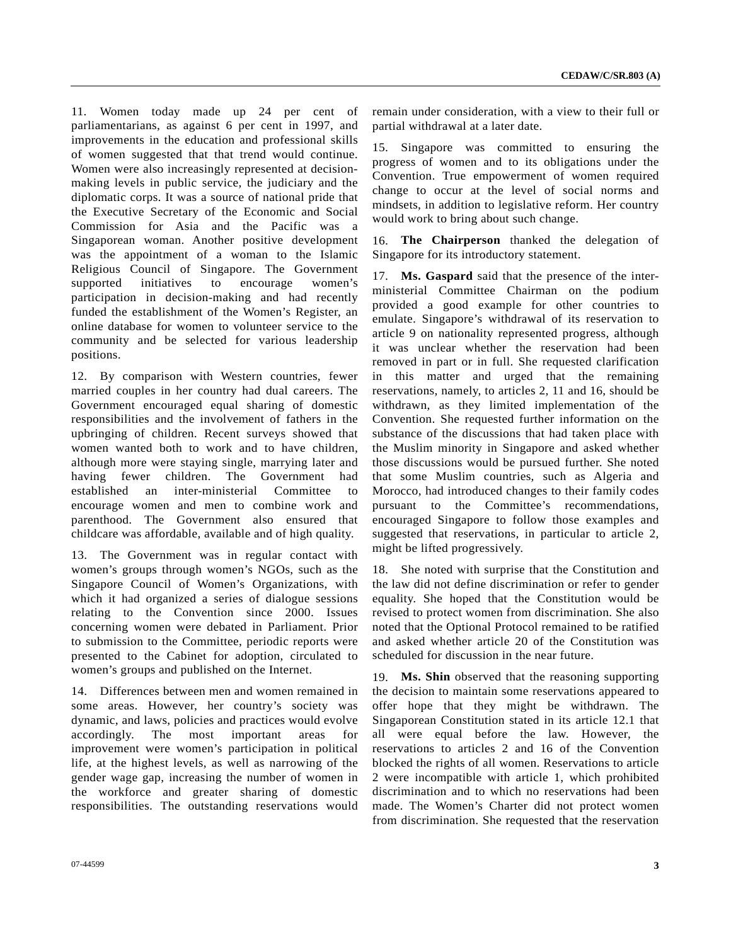11. Women today made up 24 per cent of parliamentarians, as against 6 per cent in 1997, and improvements in the education and professional skills of women suggested that that trend would continue. Women were also increasingly represented at decisionmaking levels in public service, the judiciary and the diplomatic corps. It was a source of national pride that the Executive Secretary of the Economic and Social Commission for Asia and the Pacific was a Singaporean woman. Another positive development was the appointment of a woman to the Islamic Religious Council of Singapore. The Government supported initiatives to encourage women's participation in decision-making and had recently funded the establishment of the Women's Register, an online database for women to volunteer service to the community and be selected for various leadership positions.

12. By comparison with Western countries, fewer married couples in her country had dual careers. The Government encouraged equal sharing of domestic responsibilities and the involvement of fathers in the upbringing of children. Recent surveys showed that women wanted both to work and to have children, although more were staying single, marrying later and having fewer children. The Government had established an inter-ministerial Committee to encourage women and men to combine work and parenthood. The Government also ensured that childcare was affordable, available and of high quality.

13. The Government was in regular contact with women's groups through women's NGOs, such as the Singapore Council of Women's Organizations, with which it had organized a series of dialogue sessions relating to the Convention since 2000. Issues concerning women were debated in Parliament. Prior to submission to the Committee, periodic reports were presented to the Cabinet for adoption, circulated to women's groups and published on the Internet.

14. Differences between men and women remained in some areas. However, her country's society was dynamic, and laws, policies and practices would evolve accordingly. The most important areas for improvement were women's participation in political life, at the highest levels, as well as narrowing of the gender wage gap, increasing the number of women in the workforce and greater sharing of domestic responsibilities. The outstanding reservations would

07-44599 **3** 

remain under consideration, with a view to their full or partial withdrawal at a later date.

15. Singapore was committed to ensuring the progress of women and to its obligations under the Convention. True empowerment of women required change to occur at the level of social norms and mindsets, in addition to legislative reform. Her country would work to bring about such change.

16. **The Chairperson** thanked the delegation of Singapore for its introductory statement.

17. **Ms. Gaspard** said that the presence of the interministerial Committee Chairman on the podium provided a good example for other countries to emulate. Singapore's withdrawal of its reservation to article 9 on nationality represented progress, although it was unclear whether the reservation had been removed in part or in full. She requested clarification in this matter and urged that the remaining reservations, namely, to articles 2, 11 and 16, should be withdrawn, as they limited implementation of the Convention. She requested further information on the substance of the discussions that had taken place with the Muslim minority in Singapore and asked whether those discussions would be pursued further. She noted that some Muslim countries, such as Algeria and Morocco, had introduced changes to their family codes pursuant to the Committee's recommendations, encouraged Singapore to follow those examples and suggested that reservations, in particular to article 2, might be lifted progressively.

18. She noted with surprise that the Constitution and the law did not define discrimination or refer to gender equality. She hoped that the Constitution would be revised to protect women from discrimination. She also noted that the Optional Protocol remained to be ratified and asked whether article 20 of the Constitution was scheduled for discussion in the near future.

19. **Ms. Shin** observed that the reasoning supporting the decision to maintain some reservations appeared to offer hope that they might be withdrawn. The Singaporean Constitution stated in its article 12.1 that all were equal before the law. However, the reservations to articles 2 and 16 of the Convention blocked the rights of all women. Reservations to article 2 were incompatible with article 1, which prohibited discrimination and to which no reservations had been made. The Women's Charter did not protect women from discrimination. She requested that the reservation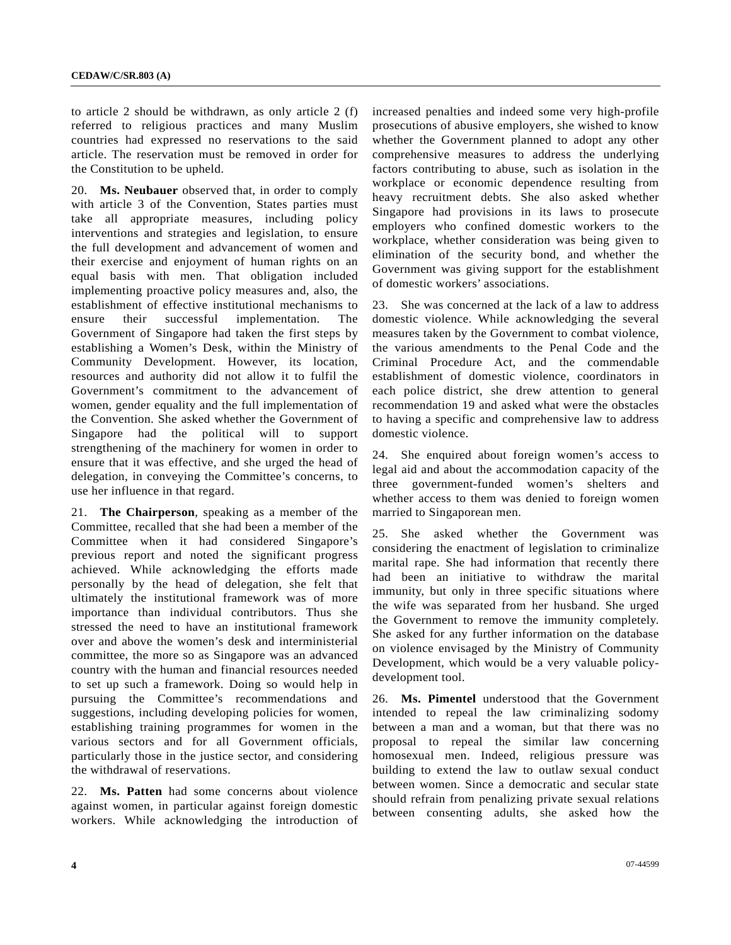to article 2 should be withdrawn, as only article 2 (f) referred to religious practices and many Muslim countries had expressed no reservations to the said article. The reservation must be removed in order for the Constitution to be upheld.

20. **Ms. Neubauer** observed that, in order to comply with article 3 of the Convention, States parties must take all appropriate measures, including policy interventions and strategies and legislation, to ensure the full development and advancement of women and their exercise and enjoyment of human rights on an equal basis with men. That obligation included implementing proactive policy measures and, also, the establishment of effective institutional mechanisms to ensure their successful implementation. The Government of Singapore had taken the first steps by establishing a Women's Desk, within the Ministry of Community Development. However, its location, resources and authority did not allow it to fulfil the Government's commitment to the advancement of women, gender equality and the full implementation of the Convention. She asked whether the Government of Singapore had the political will to support strengthening of the machinery for women in order to ensure that it was effective, and she urged the head of delegation, in conveying the Committee's concerns, to use her influence in that regard.

21. **The Chairperson**, speaking as a member of the Committee, recalled that she had been a member of the Committee when it had considered Singapore's previous report and noted the significant progress achieved. While acknowledging the efforts made personally by the head of delegation, she felt that ultimately the institutional framework was of more importance than individual contributors. Thus she stressed the need to have an institutional framework over and above the women's desk and interministerial committee, the more so as Singapore was an advanced country with the human and financial resources needed to set up such a framework. Doing so would help in pursuing the Committee's recommendations and suggestions, including developing policies for women, establishing training programmes for women in the various sectors and for all Government officials, particularly those in the justice sector, and considering the withdrawal of reservations.

22. **Ms. Patten** had some concerns about violence against women, in particular against foreign domestic workers. While acknowledging the introduction of increased penalties and indeed some very high-profile prosecutions of abusive employers, she wished to know whether the Government planned to adopt any other comprehensive measures to address the underlying factors contributing to abuse, such as isolation in the workplace or economic dependence resulting from heavy recruitment debts. She also asked whether Singapore had provisions in its laws to prosecute employers who confined domestic workers to the workplace, whether consideration was being given to elimination of the security bond, and whether the Government was giving support for the establishment of domestic workers' associations.

23. She was concerned at the lack of a law to address domestic violence. While acknowledging the several measures taken by the Government to combat violence, the various amendments to the Penal Code and the Criminal Procedure Act, and the commendable establishment of domestic violence, coordinators in each police district, she drew attention to general recommendation 19 and asked what were the obstacles to having a specific and comprehensive law to address domestic violence.

24. She enquired about foreign women's access to legal aid and about the accommodation capacity of the three government-funded women's shelters and whether access to them was denied to foreign women married to Singaporean men.

25. She asked whether the Government was considering the enactment of legislation to criminalize marital rape. She had information that recently there had been an initiative to withdraw the marital immunity, but only in three specific situations where the wife was separated from her husband. She urged the Government to remove the immunity completely. She asked for any further information on the database on violence envisaged by the Ministry of Community Development, which would be a very valuable policydevelopment tool.

26. **Ms. Pimentel** understood that the Government intended to repeal the law criminalizing sodomy between a man and a woman, but that there was no proposal to repeal the similar law concerning homosexual men. Indeed, religious pressure was building to extend the law to outlaw sexual conduct between women. Since a democratic and secular state should refrain from penalizing private sexual relations between consenting adults, she asked how the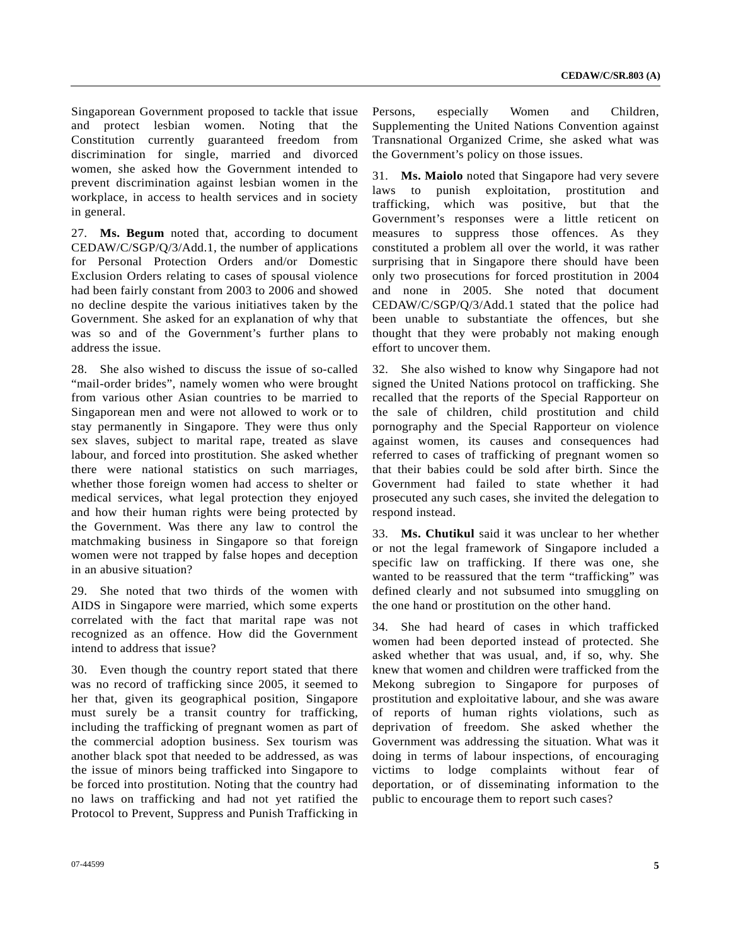Singaporean Government proposed to tackle that issue and protect lesbian women. Noting that the Constitution currently guaranteed freedom from discrimination for single, married and divorced women, she asked how the Government intended to prevent discrimination against lesbian women in the workplace, in access to health services and in society in general.

27. **Ms. Begum** noted that, according to document CEDAW/C/SGP/Q/3/Add.1, the number of applications for Personal Protection Orders and/or Domestic Exclusion Orders relating to cases of spousal violence had been fairly constant from 2003 to 2006 and showed no decline despite the various initiatives taken by the Government. She asked for an explanation of why that was so and of the Government's further plans to address the issue.

28. She also wished to discuss the issue of so-called "mail-order brides", namely women who were brought from various other Asian countries to be married to Singaporean men and were not allowed to work or to stay permanently in Singapore. They were thus only sex slaves, subject to marital rape, treated as slave labour, and forced into prostitution. She asked whether there were national statistics on such marriages, whether those foreign women had access to shelter or medical services, what legal protection they enjoyed and how their human rights were being protected by the Government. Was there any law to control the matchmaking business in Singapore so that foreign women were not trapped by false hopes and deception in an abusive situation?

29. She noted that two thirds of the women with AIDS in Singapore were married, which some experts correlated with the fact that marital rape was not recognized as an offence. How did the Government intend to address that issue?

30. Even though the country report stated that there was no record of trafficking since 2005, it seemed to her that, given its geographical position, Singapore must surely be a transit country for trafficking, including the trafficking of pregnant women as part of the commercial adoption business. Sex tourism was another black spot that needed to be addressed, as was the issue of minors being trafficked into Singapore to be forced into prostitution. Noting that the country had no laws on trafficking and had not yet ratified the Protocol to Prevent, Suppress and Punish Trafficking in

Persons, especially Women and Children, Supplementing the United Nations Convention against Transnational Organized Crime, she asked what was the Government's policy on those issues.

31. **Ms. Maiolo** noted that Singapore had very severe laws to punish exploitation, prostitution and trafficking, which was positive, but that the Government's responses were a little reticent on measures to suppress those offences. As they constituted a problem all over the world, it was rather surprising that in Singapore there should have been only two prosecutions for forced prostitution in 2004 and none in 2005. She noted that document CEDAW/C/SGP/Q/3/Add.1 stated that the police had been unable to substantiate the offences, but she thought that they were probably not making enough effort to uncover them.

32. She also wished to know why Singapore had not signed the United Nations protocol on trafficking. She recalled that the reports of the Special Rapporteur on the sale of children, child prostitution and child pornography and the Special Rapporteur on violence against women, its causes and consequences had referred to cases of trafficking of pregnant women so that their babies could be sold after birth. Since the Government had failed to state whether it had prosecuted any such cases, she invited the delegation to respond instead.

33. **Ms. Chutikul** said it was unclear to her whether or not the legal framework of Singapore included a specific law on trafficking. If there was one, she wanted to be reassured that the term "trafficking" was defined clearly and not subsumed into smuggling on the one hand or prostitution on the other hand.

34. She had heard of cases in which trafficked women had been deported instead of protected. She asked whether that was usual, and, if so, why. She knew that women and children were trafficked from the Mekong subregion to Singapore for purposes of prostitution and exploitative labour, and she was aware of reports of human rights violations, such as deprivation of freedom. She asked whether the Government was addressing the situation. What was it doing in terms of labour inspections, of encouraging victims to lodge complaints without fear of deportation, or of disseminating information to the public to encourage them to report such cases?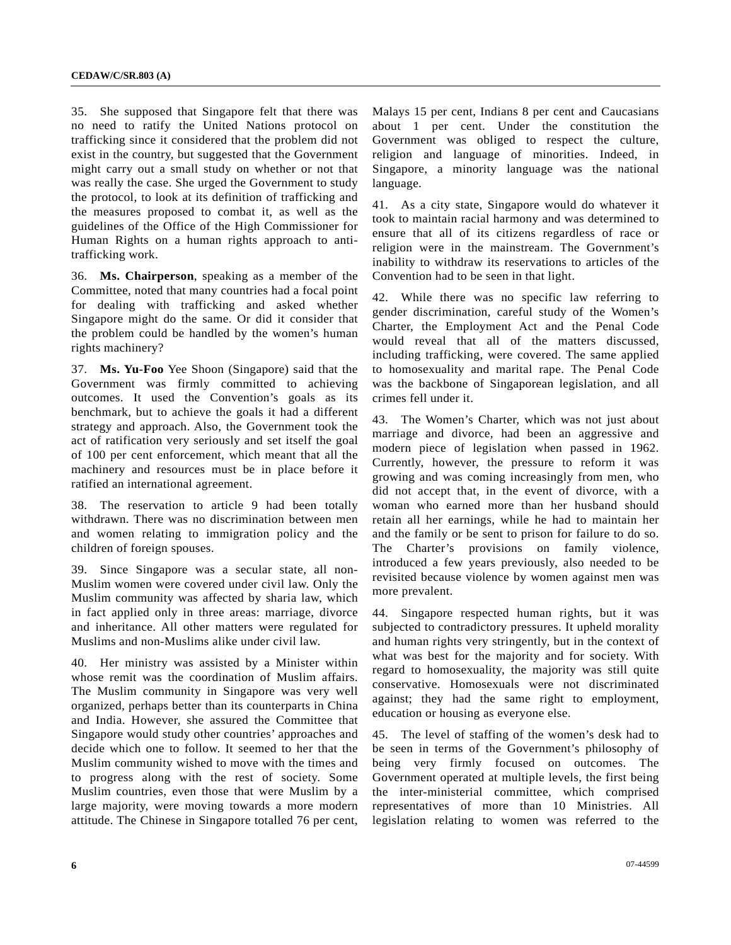35. She supposed that Singapore felt that there was no need to ratify the United Nations protocol on trafficking since it considered that the problem did not exist in the country, but suggested that the Government might carry out a small study on whether or not that was really the case. She urged the Government to study the protocol, to look at its definition of trafficking and the measures proposed to combat it, as well as the guidelines of the Office of the High Commissioner for Human Rights on a human rights approach to antitrafficking work.

36. **Ms. Chairperson**, speaking as a member of the Committee, noted that many countries had a focal point for dealing with trafficking and asked whether Singapore might do the same. Or did it consider that the problem could be handled by the women's human rights machinery?

37. **Ms. Yu-Foo** Yee Shoon (Singapore) said that the Government was firmly committed to achieving outcomes. It used the Convention's goals as its benchmark, but to achieve the goals it had a different strategy and approach. Also, the Government took the act of ratification very seriously and set itself the goal of 100 per cent enforcement, which meant that all the machinery and resources must be in place before it ratified an international agreement.

38. The reservation to article 9 had been totally withdrawn. There was no discrimination between men and women relating to immigration policy and the children of foreign spouses.

39. Since Singapore was a secular state, all non-Muslim women were covered under civil law. Only the Muslim community was affected by sharia law, which in fact applied only in three areas: marriage, divorce and inheritance. All other matters were regulated for Muslims and non-Muslims alike under civil law.

40. Her ministry was assisted by a Minister within whose remit was the coordination of Muslim affairs. The Muslim community in Singapore was very well organized, perhaps better than its counterparts in China and India. However, she assured the Committee that Singapore would study other countries' approaches and decide which one to follow. It seemed to her that the Muslim community wished to move with the times and to progress along with the rest of society. Some Muslim countries, even those that were Muslim by a large majority, were moving towards a more modern attitude. The Chinese in Singapore totalled 76 per cent,

Malays 15 per cent, Indians 8 per cent and Caucasians about 1 per cent. Under the constitution the Government was obliged to respect the culture, religion and language of minorities. Indeed, in Singapore, a minority language was the national language.

41. As a city state, Singapore would do whatever it took to maintain racial harmony and was determined to ensure that all of its citizens regardless of race or religion were in the mainstream. The Government's inability to withdraw its reservations to articles of the Convention had to be seen in that light.

42. While there was no specific law referring to gender discrimination, careful study of the Women's Charter, the Employment Act and the Penal Code would reveal that all of the matters discussed, including trafficking, were covered. The same applied to homosexuality and marital rape. The Penal Code was the backbone of Singaporean legislation, and all crimes fell under it.

43. The Women's Charter, which was not just about marriage and divorce, had been an aggressive and modern piece of legislation when passed in 1962. Currently, however, the pressure to reform it was growing and was coming increasingly from men, who did not accept that, in the event of divorce, with a woman who earned more than her husband should retain all her earnings, while he had to maintain her and the family or be sent to prison for failure to do so. The Charter's provisions on family violence, introduced a few years previously, also needed to be revisited because violence by women against men was more prevalent.

44. Singapore respected human rights, but it was subjected to contradictory pressures. It upheld morality and human rights very stringently, but in the context of what was best for the majority and for society. With regard to homosexuality, the majority was still quite conservative. Homosexuals were not discriminated against; they had the same right to employment, education or housing as everyone else.

45. The level of staffing of the women's desk had to be seen in terms of the Government's philosophy of being very firmly focused on outcomes. The Government operated at multiple levels, the first being the inter-ministerial committee, which comprised representatives of more than 10 Ministries. All legislation relating to women was referred to the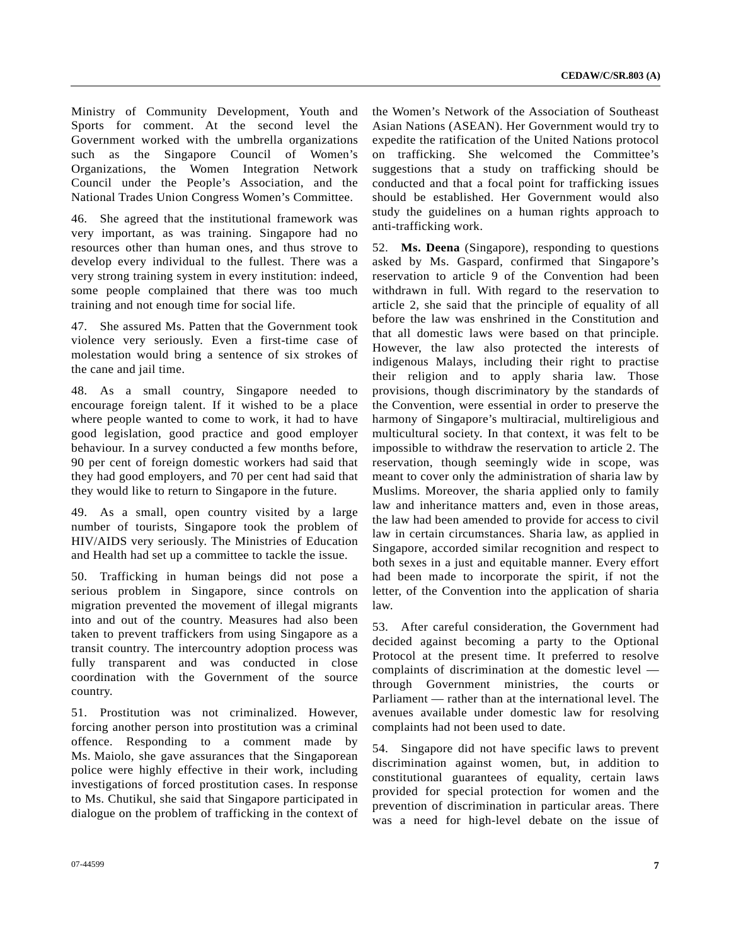Ministry of Community Development, Youth and Sports for comment. At the second level the Government worked with the umbrella organizations such as the Singapore Council of Women's Organizations, the Women Integration Network Council under the People's Association, and the National Trades Union Congress Women's Committee.

46. She agreed that the institutional framework was very important, as was training. Singapore had no resources other than human ones, and thus strove to develop every individual to the fullest. There was a very strong training system in every institution: indeed, some people complained that there was too much training and not enough time for social life.

47. She assured Ms. Patten that the Government took violence very seriously. Even a first-time case of molestation would bring a sentence of six strokes of the cane and jail time.

48. As a small country, Singapore needed to encourage foreign talent. If it wished to be a place where people wanted to come to work, it had to have good legislation, good practice and good employer behaviour. In a survey conducted a few months before, 90 per cent of foreign domestic workers had said that they had good employers, and 70 per cent had said that they would like to return to Singapore in the future.

49. As a small, open country visited by a large number of tourists, Singapore took the problem of HIV/AIDS very seriously. The Ministries of Education and Health had set up a committee to tackle the issue.

50. Trafficking in human beings did not pose a serious problem in Singapore, since controls on migration prevented the movement of illegal migrants into and out of the country. Measures had also been taken to prevent traffickers from using Singapore as a transit country. The intercountry adoption process was fully transparent and was conducted in close coordination with the Government of the source country.

51. Prostitution was not criminalized. However, forcing another person into prostitution was a criminal offence. Responding to a comment made by Ms. Maiolo, she gave assurances that the Singaporean police were highly effective in their work, including investigations of forced prostitution cases. In response to Ms. Chutikul, she said that Singapore participated in dialogue on the problem of trafficking in the context of

the Women's Network of the Association of Southeast Asian Nations (ASEAN). Her Government would try to expedite the ratification of the United Nations protocol on trafficking. She welcomed the Committee's suggestions that a study on trafficking should be conducted and that a focal point for trafficking issues should be established. Her Government would also study the guidelines on a human rights approach to anti-trafficking work.

52. **Ms. Deena** (Singapore), responding to questions asked by Ms. Gaspard, confirmed that Singapore's reservation to article 9 of the Convention had been withdrawn in full. With regard to the reservation to article 2, she said that the principle of equality of all before the law was enshrined in the Constitution and that all domestic laws were based on that principle. However, the law also protected the interests of indigenous Malays, including their right to practise their religion and to apply sharia law. Those provisions, though discriminatory by the standards of the Convention, were essential in order to preserve the harmony of Singapore's multiracial, multireligious and multicultural society. In that context, it was felt to be impossible to withdraw the reservation to article 2. The reservation, though seemingly wide in scope, was meant to cover only the administration of sharia law by Muslims. Moreover, the sharia applied only to family law and inheritance matters and, even in those areas, the law had been amended to provide for access to civil law in certain circumstances. Sharia law, as applied in Singapore, accorded similar recognition and respect to both sexes in a just and equitable manner. Every effort had been made to incorporate the spirit, if not the letter, of the Convention into the application of sharia law.

53. After careful consideration, the Government had decided against becoming a party to the Optional Protocol at the present time. It preferred to resolve complaints of discrimination at the domestic level through Government ministries, the courts or Parliament — rather than at the international level. The avenues available under domestic law for resolving complaints had not been used to date.

54. Singapore did not have specific laws to prevent discrimination against women, but, in addition to constitutional guarantees of equality, certain laws provided for special protection for women and the prevention of discrimination in particular areas. There was a need for high-level debate on the issue of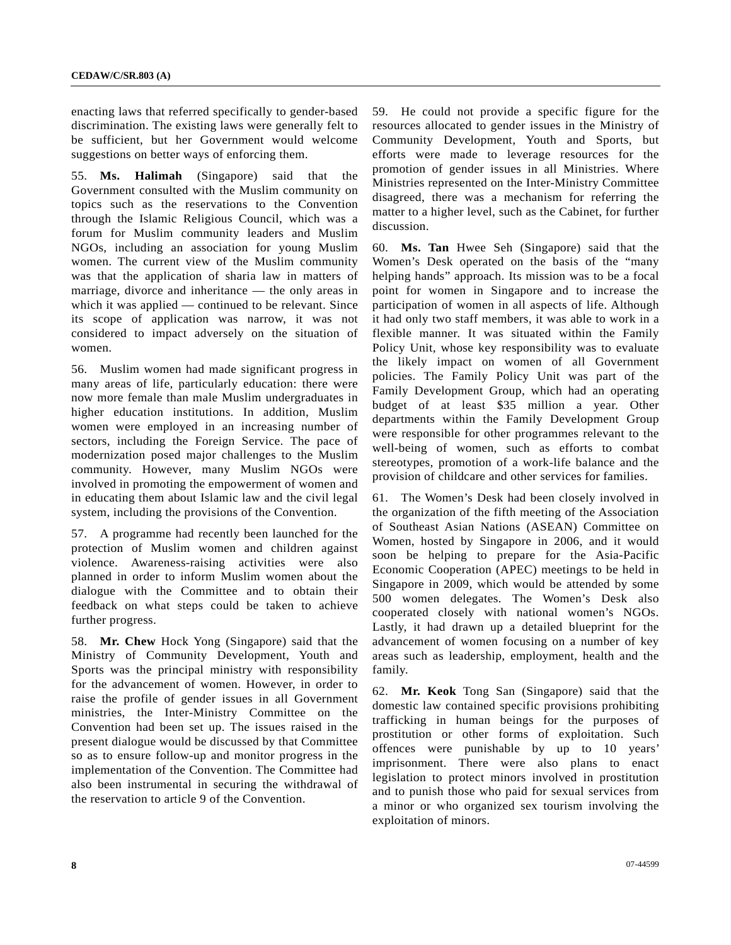enacting laws that referred specifically to gender-based discrimination. The existing laws were generally felt to be sufficient, but her Government would welcome suggestions on better ways of enforcing them.

55. **Ms. Halimah** (Singapore) said that the Government consulted with the Muslim community on topics such as the reservations to the Convention through the Islamic Religious Council, which was a forum for Muslim community leaders and Muslim NGOs, including an association for young Muslim women. The current view of the Muslim community was that the application of sharia law in matters of marriage, divorce and inheritance — the only areas in which it was applied — continued to be relevant. Since its scope of application was narrow, it was not considered to impact adversely on the situation of women.

56. Muslim women had made significant progress in many areas of life, particularly education: there were now more female than male Muslim undergraduates in higher education institutions. In addition, Muslim women were employed in an increasing number of sectors, including the Foreign Service. The pace of modernization posed major challenges to the Muslim community. However, many Muslim NGOs were involved in promoting the empowerment of women and in educating them about Islamic law and the civil legal system, including the provisions of the Convention.

57. A programme had recently been launched for the protection of Muslim women and children against violence. Awareness-raising activities were also planned in order to inform Muslim women about the dialogue with the Committee and to obtain their feedback on what steps could be taken to achieve further progress.

58. **Mr. Chew** Hock Yong (Singapore) said that the Ministry of Community Development, Youth and Sports was the principal ministry with responsibility for the advancement of women. However, in order to raise the profile of gender issues in all Government ministries, the Inter-Ministry Committee on the Convention had been set up. The issues raised in the present dialogue would be discussed by that Committee so as to ensure follow-up and monitor progress in the implementation of the Convention. The Committee had also been instrumental in securing the withdrawal of the reservation to article 9 of the Convention.

59. He could not provide a specific figure for the resources allocated to gender issues in the Ministry of Community Development, Youth and Sports, but efforts were made to leverage resources for the promotion of gender issues in all Ministries. Where Ministries represented on the Inter-Ministry Committee disagreed, there was a mechanism for referring the matter to a higher level, such as the Cabinet, for further discussion.

60. **Ms. Tan** Hwee Seh (Singapore) said that the Women's Desk operated on the basis of the "many helping hands" approach. Its mission was to be a focal point for women in Singapore and to increase the participation of women in all aspects of life. Although it had only two staff members, it was able to work in a flexible manner. It was situated within the Family Policy Unit, whose key responsibility was to evaluate the likely impact on women of all Government policies. The Family Policy Unit was part of the Family Development Group, which had an operating budget of at least \$35 million a year. Other departments within the Family Development Group were responsible for other programmes relevant to the well-being of women, such as efforts to combat stereotypes, promotion of a work-life balance and the provision of childcare and other services for families.

61. The Women's Desk had been closely involved in the organization of the fifth meeting of the Association of Southeast Asian Nations (ASEAN) Committee on Women, hosted by Singapore in 2006, and it would soon be helping to prepare for the Asia-Pacific Economic Cooperation (APEC) meetings to be held in Singapore in 2009, which would be attended by some 500 women delegates. The Women's Desk also cooperated closely with national women's NGOs. Lastly, it had drawn up a detailed blueprint for the advancement of women focusing on a number of key areas such as leadership, employment, health and the family.

62. **Mr. Keok** Tong San (Singapore) said that the domestic law contained specific provisions prohibiting trafficking in human beings for the purposes of prostitution or other forms of exploitation. Such offences were punishable by up to 10 years' imprisonment. There were also plans to enact legislation to protect minors involved in prostitution and to punish those who paid for sexual services from a minor or who organized sex tourism involving the exploitation of minors.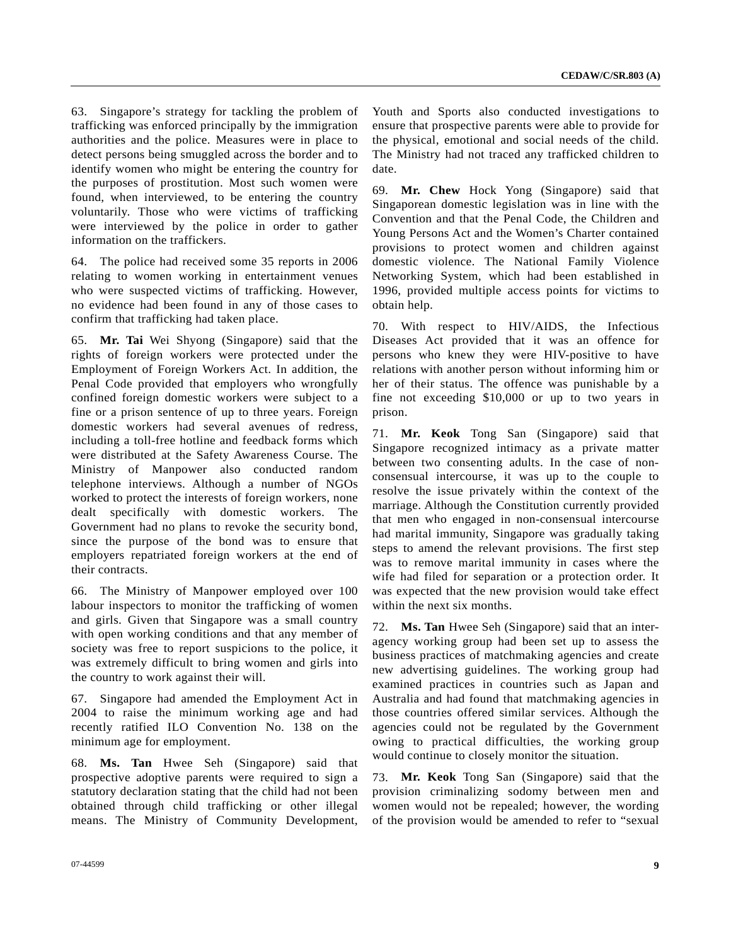63. Singapore's strategy for tackling the problem of trafficking was enforced principally by the immigration authorities and the police. Measures were in place to detect persons being smuggled across the border and to identify women who might be entering the country for the purposes of prostitution. Most such women were found, when interviewed, to be entering the country voluntarily. Those who were victims of trafficking were interviewed by the police in order to gather information on the traffickers.

64. The police had received some 35 reports in 2006 relating to women working in entertainment venues who were suspected victims of trafficking. However, no evidence had been found in any of those cases to confirm that trafficking had taken place.

65. **Mr. Tai** Wei Shyong (Singapore) said that the rights of foreign workers were protected under the Employment of Foreign Workers Act. In addition, the Penal Code provided that employers who wrongfully confined foreign domestic workers were subject to a fine or a prison sentence of up to three years. Foreign domestic workers had several avenues of redress, including a toll-free hotline and feedback forms which were distributed at the Safety Awareness Course. The Ministry of Manpower also conducted random telephone interviews. Although a number of NGOs worked to protect the interests of foreign workers, none dealt specifically with domestic workers. The Government had no plans to revoke the security bond, since the purpose of the bond was to ensure that employers repatriated foreign workers at the end of their contracts.

66. The Ministry of Manpower employed over 100 labour inspectors to monitor the trafficking of women and girls. Given that Singapore was a small country with open working conditions and that any member of society was free to report suspicions to the police, it was extremely difficult to bring women and girls into the country to work against their will.

67. Singapore had amended the Employment Act in 2004 to raise the minimum working age and had recently ratified ILO Convention No. 138 on the minimum age for employment.

68. **Ms. Tan** Hwee Seh (Singapore) said that prospective adoptive parents were required to sign a statutory declaration stating that the child had not been obtained through child trafficking or other illegal means. The Ministry of Community Development,

69. **Mr. Chew** Hock Yong (Singapore) said that Singaporean domestic legislation was in line with the Convention and that the Penal Code, the Children and Young Persons Act and the Women's Charter contained provisions to protect women and children against domestic violence. The National Family Violence Networking System, which had been established in 1996, provided multiple access points for victims to obtain help.

70. With respect to HIV/AIDS, the Infectious Diseases Act provided that it was an offence for persons who knew they were HIV-positive to have relations with another person without informing him or her of their status. The offence was punishable by a fine not exceeding \$10,000 or up to two years in prison.

71. **Mr. Keok** Tong San (Singapore) said that Singapore recognized intimacy as a private matter between two consenting adults. In the case of nonconsensual intercourse, it was up to the couple to resolve the issue privately within the context of the marriage. Although the Constitution currently provided that men who engaged in non-consensual intercourse had marital immunity, Singapore was gradually taking steps to amend the relevant provisions. The first step was to remove marital immunity in cases where the wife had filed for separation or a protection order. It was expected that the new provision would take effect within the next six months.

72. **Ms. Tan** Hwee Seh (Singapore) said that an interagency working group had been set up to assess the business practices of matchmaking agencies and create new advertising guidelines. The working group had examined practices in countries such as Japan and Australia and had found that matchmaking agencies in those countries offered similar services. Although the agencies could not be regulated by the Government owing to practical difficulties, the working group would continue to closely monitor the situation.

73. **Mr. Keok** Tong San (Singapore) said that the provision criminalizing sodomy between men and women would not be repealed; however, the wording of the provision would be amended to refer to "sexual